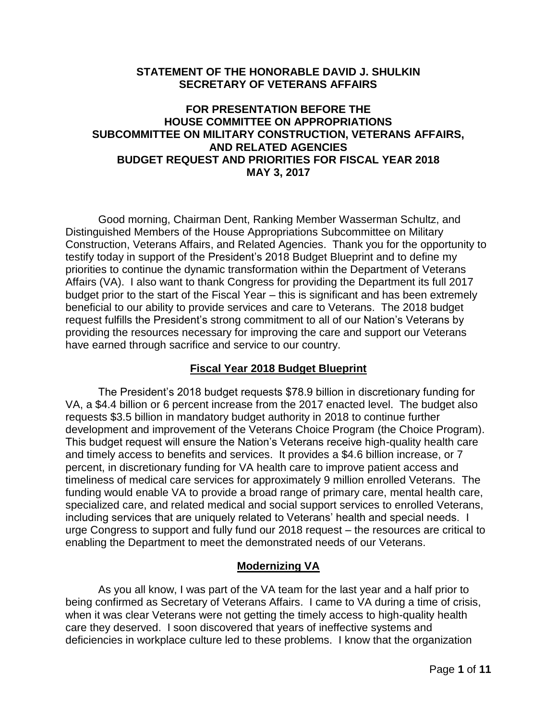### **STATEMENT OF THE HONORABLE DAVID J. SHULKIN SECRETARY OF VETERANS AFFAIRS**

# **FOR PRESENTATION BEFORE THE HOUSE COMMITTEE ON APPROPRIATIONS SUBCOMMITTEE ON MILITARY CONSTRUCTION, VETERANS AFFAIRS, AND RELATED AGENCIES BUDGET REQUEST AND PRIORITIES FOR FISCAL YEAR 2018 MAY 3, 2017**

Good morning, Chairman Dent, Ranking Member Wasserman Schultz, and Distinguished Members of the House Appropriations Subcommittee on Military Construction, Veterans Affairs, and Related Agencies. Thank you for the opportunity to testify today in support of the President's 2018 Budget Blueprint and to define my priorities to continue the dynamic transformation within the Department of Veterans Affairs (VA). I also want to thank Congress for providing the Department its full 2017 budget prior to the start of the Fiscal Year – this is significant and has been extremely beneficial to our ability to provide services and care to Veterans. The 2018 budget request fulfills the President's strong commitment to all of our Nation's Veterans by providing the resources necessary for improving the care and support our Veterans have earned through sacrifice and service to our country.

## **Fiscal Year 2018 Budget Blueprint**

The President's 2018 budget requests \$78.9 billion in discretionary funding for VA, a \$4.4 billion or 6 percent increase from the 2017 enacted level. The budget also requests \$3.5 billion in mandatory budget authority in 2018 to continue further development and improvement of the Veterans Choice Program (the Choice Program). This budget request will ensure the Nation's Veterans receive high-quality health care and timely access to benefits and services. It provides a \$4.6 billion increase, or 7 percent, in discretionary funding for VA health care to improve patient access and timeliness of medical care services for approximately 9 million enrolled Veterans. The funding would enable VA to provide a broad range of primary care, mental health care, specialized care, and related medical and social support services to enrolled Veterans, including services that are uniquely related to Veterans' health and special needs. I urge Congress to support and fully fund our 2018 request – the resources are critical to enabling the Department to meet the demonstrated needs of our Veterans.

## **Modernizing VA**

As you all know, I was part of the VA team for the last year and a half prior to being confirmed as Secretary of Veterans Affairs. I came to VA during a time of crisis, when it was clear Veterans were not getting the timely access to high-quality health care they deserved. I soon discovered that years of ineffective systems and deficiencies in workplace culture led to these problems. I know that the organization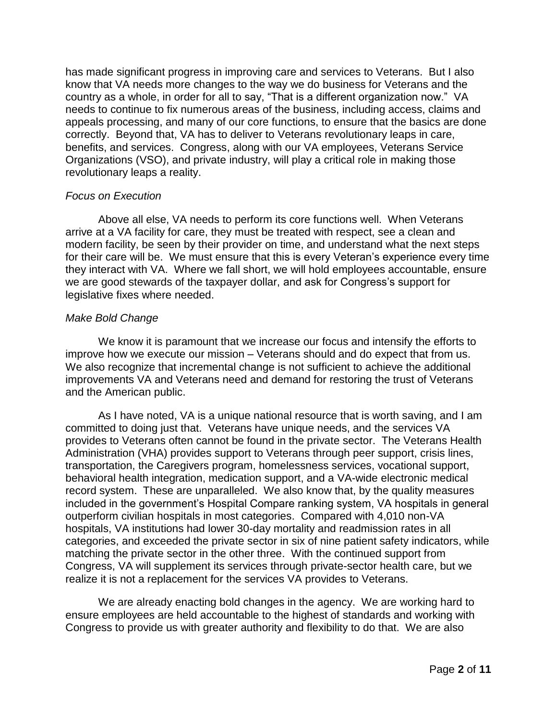has made significant progress in improving care and services to Veterans. But I also know that VA needs more changes to the way we do business for Veterans and the country as a whole, in order for all to say, "That is a different organization now." VA needs to continue to fix numerous areas of the business, including access, claims and appeals processing, and many of our core functions, to ensure that the basics are done correctly. Beyond that, VA has to deliver to Veterans revolutionary leaps in care, benefits, and services. Congress, along with our VA employees, Veterans Service Organizations (VSO), and private industry, will play a critical role in making those revolutionary leaps a reality.

### *Focus on Execution*

Above all else, VA needs to perform its core functions well. When Veterans arrive at a VA facility for care, they must be treated with respect, see a clean and modern facility, be seen by their provider on time, and understand what the next steps for their care will be. We must ensure that this is every Veteran's experience every time they interact with VA. Where we fall short, we will hold employees accountable, ensure we are good stewards of the taxpayer dollar, and ask for Congress's support for legislative fixes where needed.

## *Make Bold Change*

We know it is paramount that we increase our focus and intensify the efforts to improve how we execute our mission – Veterans should and do expect that from us. We also recognize that incremental change is not sufficient to achieve the additional improvements VA and Veterans need and demand for restoring the trust of Veterans and the American public.

As I have noted, VA is a unique national resource that is worth saving, and I am committed to doing just that. Veterans have unique needs, and the services VA provides to Veterans often cannot be found in the private sector. The Veterans Health Administration (VHA) provides support to Veterans through peer support, crisis lines, transportation, the Caregivers program, homelessness services, vocational support, behavioral health integration, medication support, and a VA-wide electronic medical record system. These are unparalleled. We also know that, by the quality measures included in the government's Hospital Compare ranking system, VA hospitals in general outperform civilian hospitals in most categories. Compared with 4,010 non-VA hospitals, VA institutions had lower 30-day mortality and readmission rates in all categories, and exceeded the private sector in six of nine patient safety indicators, while matching the private sector in the other three. With the continued support from Congress, VA will supplement its services through private-sector health care, but we realize it is not a replacement for the services VA provides to Veterans.

We are already enacting bold changes in the agency. We are working hard to ensure employees are held accountable to the highest of standards and working with Congress to provide us with greater authority and flexibility to do that. We are also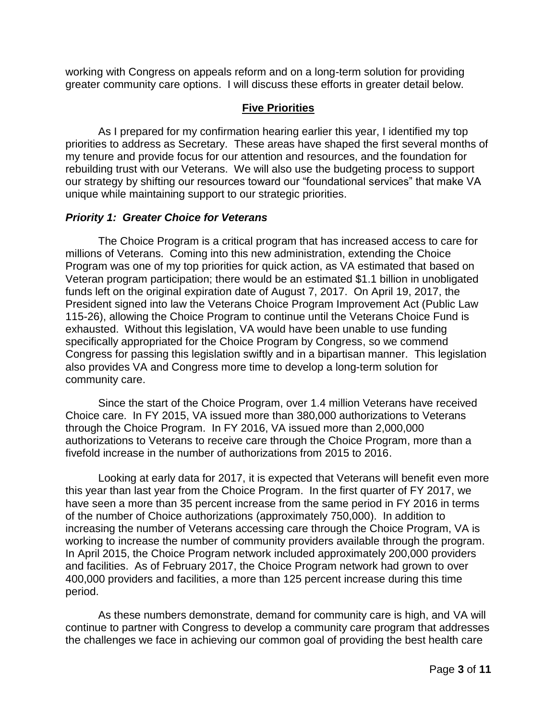working with Congress on appeals reform and on a long-term solution for providing greater community care options. I will discuss these efforts in greater detail below.

# **Five Priorities**

As I prepared for my confirmation hearing earlier this year, I identified my top priorities to address as Secretary. These areas have shaped the first several months of my tenure and provide focus for our attention and resources, and the foundation for rebuilding trust with our Veterans. We will also use the budgeting process to support our strategy by shifting our resources toward our "foundational services" that make VA unique while maintaining support to our strategic priorities.

## *Priority 1: Greater Choice for Veterans*

The Choice Program is a critical program that has increased access to care for millions of Veterans. Coming into this new administration, extending the Choice Program was one of my top priorities for quick action, as VA estimated that based on Veteran program participation; there would be an estimated \$1.1 billion in unobligated funds left on the original expiration date of August 7, 2017. On April 19, 2017, the President signed into law the Veterans Choice Program Improvement Act (Public Law 115-26), allowing the Choice Program to continue until the Veterans Choice Fund is exhausted. Without this legislation, VA would have been unable to use funding specifically appropriated for the Choice Program by Congress, so we commend Congress for passing this legislation swiftly and in a bipartisan manner. This legislation also provides VA and Congress more time to develop a long-term solution for community care.

Since the start of the Choice Program, over 1.4 million Veterans have received Choice care. In FY 2015, VA issued more than 380,000 authorizations to Veterans through the Choice Program. In FY 2016, VA issued more than 2,000,000 authorizations to Veterans to receive care through the Choice Program, more than a fivefold increase in the number of authorizations from 2015 to 2016.

Looking at early data for 2017, it is expected that Veterans will benefit even more this year than last year from the Choice Program. In the first quarter of FY 2017, we have seen a more than 35 percent increase from the same period in FY 2016 in terms of the number of Choice authorizations (approximately 750,000). In addition to increasing the number of Veterans accessing care through the Choice Program, VA is working to increase the number of community providers available through the program. In April 2015, the Choice Program network included approximately 200,000 providers and facilities. As of February 2017, the Choice Program network had grown to over 400,000 providers and facilities, a more than 125 percent increase during this time period.

As these numbers demonstrate, demand for community care is high, and VA will continue to partner with Congress to develop a community care program that addresses the challenges we face in achieving our common goal of providing the best health care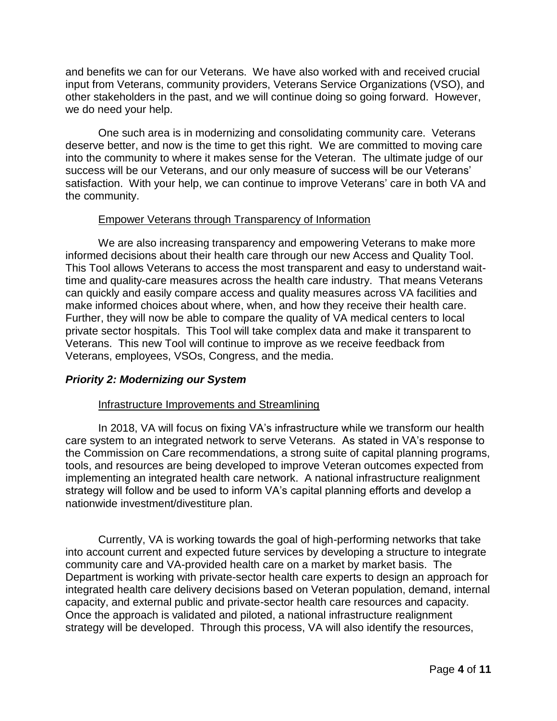and benefits we can for our Veterans. We have also worked with and received crucial input from Veterans, community providers, Veterans Service Organizations (VSO), and other stakeholders in the past, and we will continue doing so going forward. However, we do need your help.

One such area is in modernizing and consolidating community care. Veterans deserve better, and now is the time to get this right. We are committed to moving care into the community to where it makes sense for the Veteran. The ultimate judge of our success will be our Veterans, and our only measure of success will be our Veterans' satisfaction. With your help, we can continue to improve Veterans' care in both VA and the community.

### Empower Veterans through Transparency of Information

We are also increasing transparency and empowering Veterans to make more informed decisions about their health care through our new Access and Quality Tool. This Tool allows Veterans to access the most transparent and easy to understand waittime and quality-care measures across the health care industry. That means Veterans can quickly and easily compare access and quality measures across VA facilities and make informed choices about where, when, and how they receive their health care. Further, they will now be able to compare the quality of VA medical centers to local private sector hospitals. This Tool will take complex data and make it transparent to Veterans. This new Tool will continue to improve as we receive feedback from Veterans, employees, VSOs, Congress, and the media.

## *Priority 2: Modernizing our System*

#### Infrastructure Improvements and Streamlining

In 2018, VA will focus on fixing VA's infrastructure while we transform our health care system to an integrated network to serve Veterans. As stated in VA's response to the Commission on Care recommendations, a strong suite of capital planning programs, tools, and resources are being developed to improve Veteran outcomes expected from implementing an integrated health care network. A national infrastructure realignment strategy will follow and be used to inform VA's capital planning efforts and develop a nationwide investment/divestiture plan.

Currently, VA is working towards the goal of high-performing networks that take into account current and expected future services by developing a structure to integrate community care and VA-provided health care on a market by market basis. The Department is working with private-sector health care experts to design an approach for integrated health care delivery decisions based on Veteran population, demand, internal capacity, and external public and private-sector health care resources and capacity. Once the approach is validated and piloted, a national infrastructure realignment strategy will be developed. Through this process, VA will also identify the resources,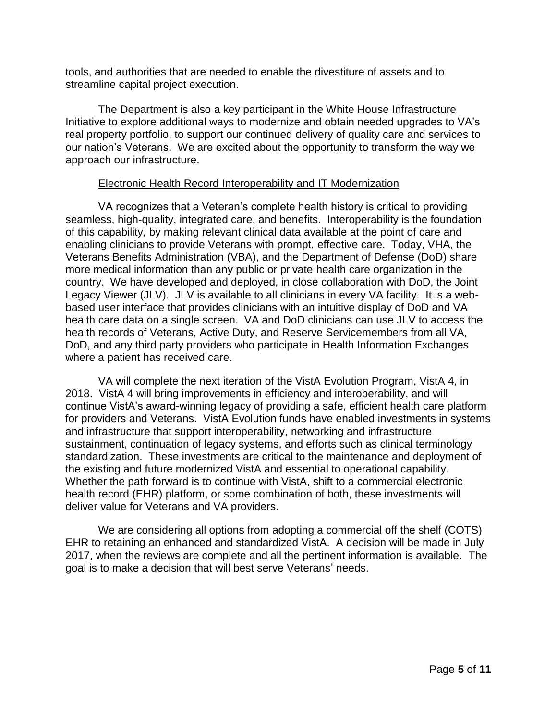tools, and authorities that are needed to enable the divestiture of assets and to streamline capital project execution.

The Department is also a key participant in the White House Infrastructure Initiative to explore additional ways to modernize and obtain needed upgrades to VA's real property portfolio, to support our continued delivery of quality care and services to our nation's Veterans. We are excited about the opportunity to transform the way we approach our infrastructure.

### Electronic Health Record Interoperability and IT Modernization

VA recognizes that a Veteran's complete health history is critical to providing seamless, high-quality, integrated care, and benefits. Interoperability is the foundation of this capability, by making relevant clinical data available at the point of care and enabling clinicians to provide Veterans with prompt, effective care. Today, VHA, the Veterans Benefits Administration (VBA), and the Department of Defense (DoD) share more medical information than any public or private health care organization in the country. We have developed and deployed, in close collaboration with DoD, the Joint Legacy Viewer (JLV). JLV is available to all clinicians in every VA facility. It is a webbased user interface that provides clinicians with an intuitive display of DoD and VA health care data on a single screen. VA and DoD clinicians can use JLV to access the health records of Veterans, Active Duty, and Reserve Servicemembers from all VA, DoD, and any third party providers who participate in Health Information Exchanges where a patient has received care.

VA will complete the next iteration of the VistA Evolution Program, VistA 4, in 2018. VistA 4 will bring improvements in efficiency and interoperability, and will continue VistA's award-winning legacy of providing a safe, efficient health care platform for providers and Veterans. VistA Evolution funds have enabled investments in systems and infrastructure that support interoperability, networking and infrastructure sustainment, continuation of legacy systems, and efforts such as clinical terminology standardization. These investments are critical to the maintenance and deployment of the existing and future modernized VistA and essential to operational capability. Whether the path forward is to continue with VistA, shift to a commercial electronic health record (EHR) platform, or some combination of both, these investments will deliver value for Veterans and VA providers.

We are considering all options from adopting a commercial off the shelf (COTS) EHR to retaining an enhanced and standardized VistA. A decision will be made in July 2017, when the reviews are complete and all the pertinent information is available. The goal is to make a decision that will best serve Veterans' needs.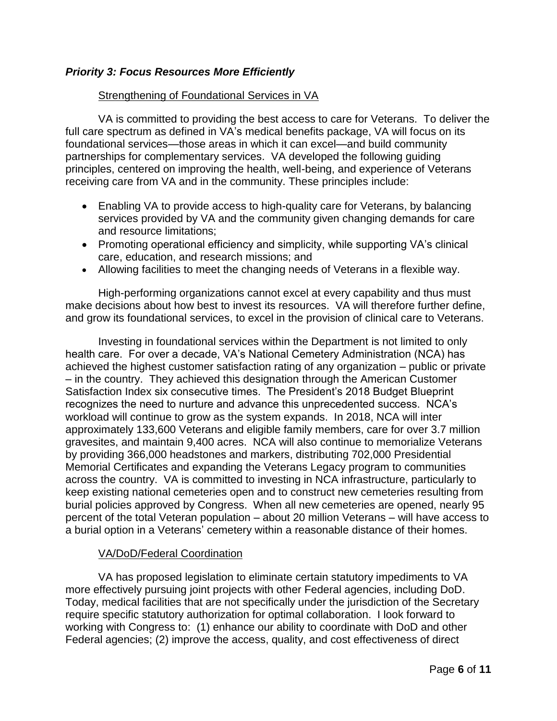# *Priority 3: Focus Resources More Efficiently*

### Strengthening of Foundational Services in VA

VA is committed to providing the best access to care for Veterans. To deliver the full care spectrum as defined in VA's medical benefits package, VA will focus on its foundational services—those areas in which it can excel—and build community partnerships for complementary services. VA developed the following guiding principles, centered on improving the health, well-being, and experience of Veterans receiving care from VA and in the community. These principles include:

- Enabling VA to provide access to high-quality care for Veterans, by balancing services provided by VA and the community given changing demands for care and resource limitations;
- Promoting operational efficiency and simplicity, while supporting VA's clinical care, education, and research missions; and
- Allowing facilities to meet the changing needs of Veterans in a flexible way.

High-performing organizations cannot excel at every capability and thus must make decisions about how best to invest its resources. VA will therefore further define, and grow its foundational services, to excel in the provision of clinical care to Veterans.

Investing in foundational services within the Department is not limited to only health care. For over a decade, VA's National Cemetery Administration (NCA) has achieved the highest customer satisfaction rating of any organization – public or private – in the country. They achieved this designation through the American Customer Satisfaction Index six consecutive times. The President's 2018 Budget Blueprint recognizes the need to nurture and advance this unprecedented success. NCA's workload will continue to grow as the system expands. In 2018, NCA will inter approximately 133,600 Veterans and eligible family members, care for over 3.7 million gravesites, and maintain 9,400 acres. NCA will also continue to memorialize Veterans by providing 366,000 headstones and markers, distributing 702,000 Presidential Memorial Certificates and expanding the Veterans Legacy program to communities across the country. VA is committed to investing in NCA infrastructure, particularly to keep existing national cemeteries open and to construct new cemeteries resulting from burial policies approved by Congress. When all new cemeteries are opened, nearly 95 percent of the total Veteran population – about 20 million Veterans – will have access to a burial option in a Veterans' cemetery within a reasonable distance of their homes.

## VA/DoD/Federal Coordination

VA has proposed legislation to eliminate certain statutory impediments to VA more effectively pursuing joint projects with other Federal agencies, including DoD. Today, medical facilities that are not specifically under the jurisdiction of the Secretary require specific statutory authorization for optimal collaboration. I look forward to working with Congress to: (1) enhance our ability to coordinate with DoD and other Federal agencies; (2) improve the access, quality, and cost effectiveness of direct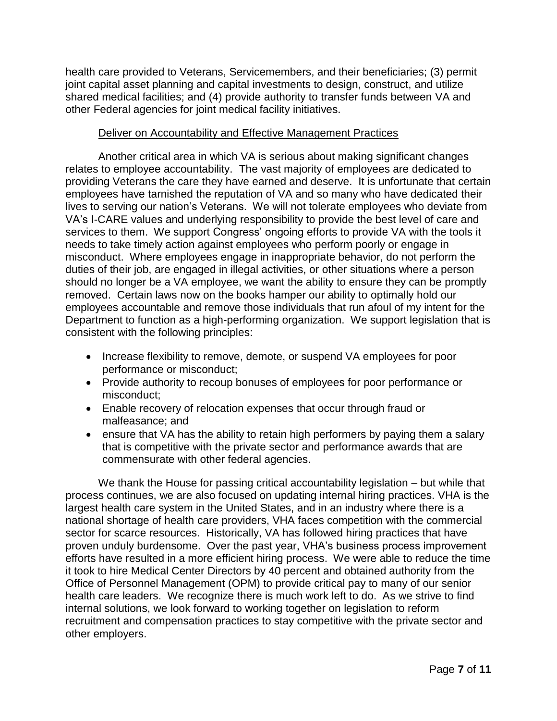health care provided to Veterans, Servicemembers, and their beneficiaries; (3) permit joint capital asset planning and capital investments to design, construct, and utilize shared medical facilities; and (4) provide authority to transfer funds between VA and other Federal agencies for joint medical facility initiatives.

# Deliver on Accountability and Effective Management Practices

Another critical area in which VA is serious about making significant changes relates to employee accountability. The vast majority of employees are dedicated to providing Veterans the care they have earned and deserve. It is unfortunate that certain employees have tarnished the reputation of VA and so many who have dedicated their lives to serving our nation's Veterans. We will not tolerate employees who deviate from VA's I-CARE values and underlying responsibility to provide the best level of care and services to them. We support Congress' ongoing efforts to provide VA with the tools it needs to take timely action against employees who perform poorly or engage in misconduct. Where employees engage in inappropriate behavior, do not perform the duties of their job, are engaged in illegal activities, or other situations where a person should no longer be a VA employee, we want the ability to ensure they can be promptly removed. Certain laws now on the books hamper our ability to optimally hold our employees accountable and remove those individuals that run afoul of my intent for the Department to function as a high-performing organization. We support legislation that is consistent with the following principles:

- Increase flexibility to remove, demote, or suspend VA employees for poor performance or misconduct;
- Provide authority to recoup bonuses of employees for poor performance or misconduct;
- Enable recovery of relocation expenses that occur through fraud or malfeasance; and
- ensure that VA has the ability to retain high performers by paying them a salary that is competitive with the private sector and performance awards that are commensurate with other federal agencies.

We thank the House for passing critical accountability legislation – but while that process continues, we are also focused on updating internal hiring practices. VHA is the largest health care system in the United States, and in an industry where there is a national shortage of health care providers, VHA faces competition with the commercial sector for scarce resources. Historically, VA has followed hiring practices that have proven unduly burdensome. Over the past year, VHA's business process improvement efforts have resulted in a more efficient hiring process. We were able to reduce the time it took to hire Medical Center Directors by 40 percent and obtained authority from the Office of Personnel Management (OPM) to provide critical pay to many of our senior health care leaders. We recognize there is much work left to do. As we strive to find internal solutions, we look forward to working together on legislation to reform recruitment and compensation practices to stay competitive with the private sector and other employers.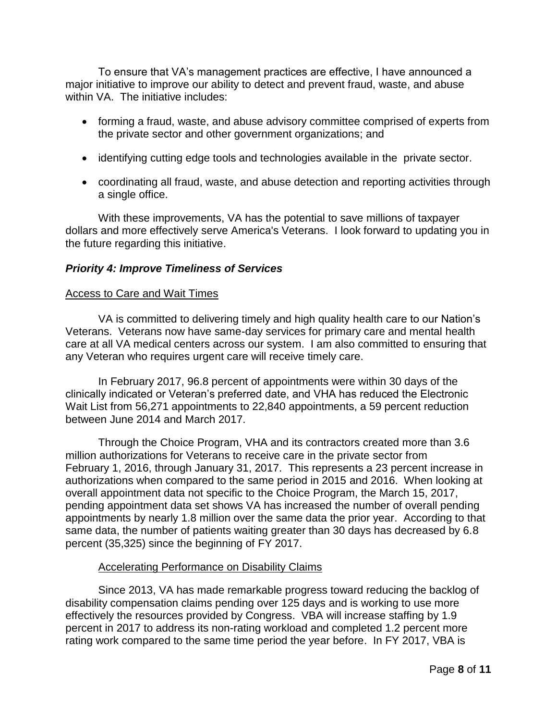To ensure that VA's management practices are effective, I have announced a major initiative to improve our ability to detect and prevent fraud, waste, and abuse within VA. The initiative includes:

- forming a fraud, waste, and abuse advisory committee comprised of experts from the private sector and other government organizations; and
- identifying cutting edge tools and technologies available in the private sector.
- coordinating all fraud, waste, and abuse detection and reporting activities through a single office.

With these improvements, VA has the potential to save millions of taxpayer dollars and more effectively serve America's Veterans. I look forward to updating you in the future regarding this initiative.

# *Priority 4: Improve Timeliness of Services*

### Access to Care and Wait Times

VA is committed to delivering timely and high quality health care to our Nation's Veterans. Veterans now have same-day services for primary care and mental health care at all VA medical centers across our system. I am also committed to ensuring that any Veteran who requires urgent care will receive timely care.

In February 2017, 96.8 percent of appointments were within 30 days of the clinically indicated or Veteran's preferred date, and VHA has reduced the Electronic Wait List from 56,271 appointments to 22,840 appointments, a 59 percent reduction between June 2014 and March 2017.

Through the Choice Program, VHA and its contractors created more than 3.6 million authorizations for Veterans to receive care in the private sector from February 1, 2016, through January 31, 2017. This represents a 23 percent increase in authorizations when compared to the same period in 2015 and 2016. When looking at overall appointment data not specific to the Choice Program, the March 15, 2017, pending appointment data set shows VA has increased the number of overall pending appointments by nearly 1.8 million over the same data the prior year. According to that same data, the number of patients waiting greater than 30 days has decreased by 6.8 percent (35,325) since the beginning of FY 2017.

## Accelerating Performance on Disability Claims

Since 2013, VA has made remarkable progress toward reducing the backlog of disability compensation claims pending over 125 days and is working to use more effectively the resources provided by Congress. VBA will increase staffing by 1.9 percent in 2017 to address its non-rating workload and completed 1.2 percent more rating work compared to the same time period the year before. In FY 2017, VBA is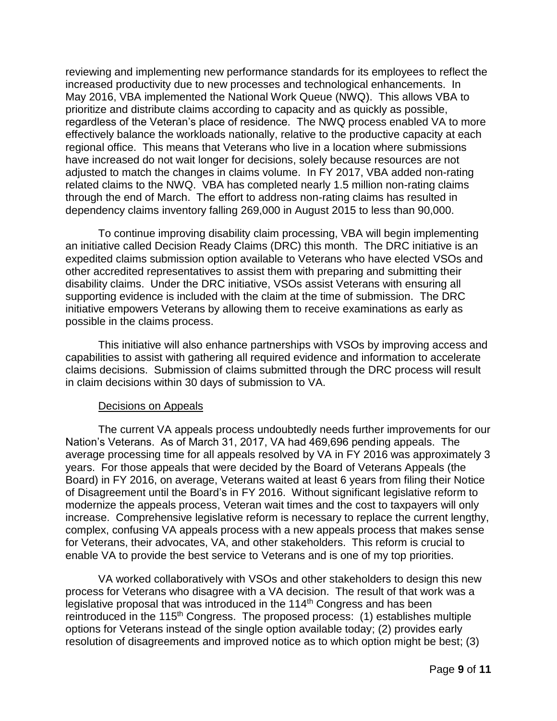reviewing and implementing new performance standards for its employees to reflect the increased productivity due to new processes and technological enhancements. In May 2016, VBA implemented the National Work Queue (NWQ). This allows VBA to prioritize and distribute claims according to capacity and as quickly as possible, regardless of the Veteran's place of residence. The NWQ process enabled VA to more effectively balance the workloads nationally, relative to the productive capacity at each regional office. This means that Veterans who live in a location where submissions have increased do not wait longer for decisions, solely because resources are not adjusted to match the changes in claims volume. In FY 2017, VBA added non-rating related claims to the NWQ. VBA has completed nearly 1.5 million non-rating claims through the end of March. The effort to address non-rating claims has resulted in dependency claims inventory falling 269,000 in August 2015 to less than 90,000.

To continue improving disability claim processing, VBA will begin implementing an initiative called Decision Ready Claims (DRC) this month. The DRC initiative is an expedited claims submission option available to Veterans who have elected VSOs and other accredited representatives to assist them with preparing and submitting their disability claims. Under the DRC initiative, VSOs assist Veterans with ensuring all supporting evidence is included with the claim at the time of submission. The DRC initiative empowers Veterans by allowing them to receive examinations as early as possible in the claims process.

This initiative will also enhance partnerships with VSOs by improving access and capabilities to assist with gathering all required evidence and information to accelerate claims decisions. Submission of claims submitted through the DRC process will result in claim decisions within 30 days of submission to VA.

## Decisions on Appeals

The current VA appeals process undoubtedly needs further improvements for our Nation's Veterans. As of March 31, 2017, VA had 469,696 pending appeals. The average processing time for all appeals resolved by VA in FY 2016 was approximately 3 years. For those appeals that were decided by the Board of Veterans Appeals (the Board) in FY 2016, on average, Veterans waited at least 6 years from filing their Notice of Disagreement until the Board's in FY 2016. Without significant legislative reform to modernize the appeals process, Veteran wait times and the cost to taxpayers will only increase. Comprehensive legislative reform is necessary to replace the current lengthy, complex, confusing VA appeals process with a new appeals process that makes sense for Veterans, their advocates, VA, and other stakeholders. This reform is crucial to enable VA to provide the best service to Veterans and is one of my top priorities.

VA worked collaboratively with VSOs and other stakeholders to design this new process for Veterans who disagree with a VA decision. The result of that work was a legislative proposal that was introduced in the 114th Congress and has been reintroduced in the 115<sup>th</sup> Congress. The proposed process: (1) establishes multiple options for Veterans instead of the single option available today; (2) provides early resolution of disagreements and improved notice as to which option might be best; (3)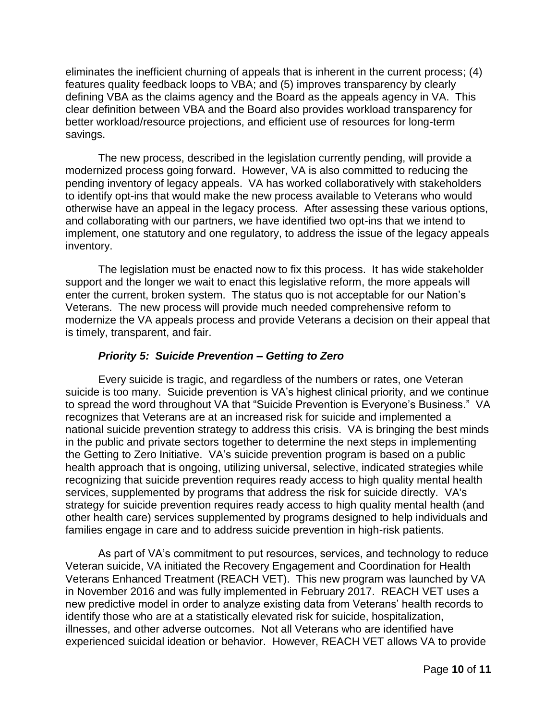eliminates the inefficient churning of appeals that is inherent in the current process; (4) features quality feedback loops to VBA; and (5) improves transparency by clearly defining VBA as the claims agency and the Board as the appeals agency in VA. This clear definition between VBA and the Board also provides workload transparency for better workload/resource projections, and efficient use of resources for long-term savings.

The new process, described in the legislation currently pending, will provide a modernized process going forward. However, VA is also committed to reducing the pending inventory of legacy appeals. VA has worked collaboratively with stakeholders to identify opt-ins that would make the new process available to Veterans who would otherwise have an appeal in the legacy process. After assessing these various options, and collaborating with our partners, we have identified two opt-ins that we intend to implement, one statutory and one regulatory, to address the issue of the legacy appeals inventory.

The legislation must be enacted now to fix this process. It has wide stakeholder support and the longer we wait to enact this legislative reform, the more appeals will enter the current, broken system. The status quo is not acceptable for our Nation's Veterans. The new process will provide much needed comprehensive reform to modernize the VA appeals process and provide Veterans a decision on their appeal that is timely, transparent, and fair.

# *Priority 5: Suicide Prevention – Getting to Zero*

Every suicide is tragic, and regardless of the numbers or rates, one Veteran suicide is too many. Suicide prevention is VA's highest clinical priority, and we continue to spread the word throughout VA that "Suicide Prevention is Everyone's Business." VA recognizes that Veterans are at an increased risk for suicide and implemented a national suicide prevention strategy to address this crisis. VA is bringing the best minds in the public and private sectors together to determine the next steps in implementing the Getting to Zero Initiative. VA's suicide prevention program is based on a public health approach that is ongoing, utilizing universal, selective, indicated strategies while recognizing that suicide prevention requires ready access to high quality mental health services, supplemented by programs that address the risk for suicide directly. VA's strategy for suicide prevention requires ready access to high quality mental health (and other health care) services supplemented by programs designed to help individuals and families engage in care and to address suicide prevention in high-risk patients.

As part of VA's commitment to put resources, services, and technology to reduce Veteran suicide, VA initiated the Recovery Engagement and Coordination for Health Veterans Enhanced Treatment (REACH VET). This new program was launched by VA in November 2016 and was fully implemented in February 2017. REACH VET uses a new predictive model in order to analyze existing data from Veterans' health records to identify those who are at a statistically elevated risk for suicide, hospitalization, illnesses, and other adverse outcomes. Not all Veterans who are identified have experienced suicidal ideation or behavior. However, REACH VET allows VA to provide